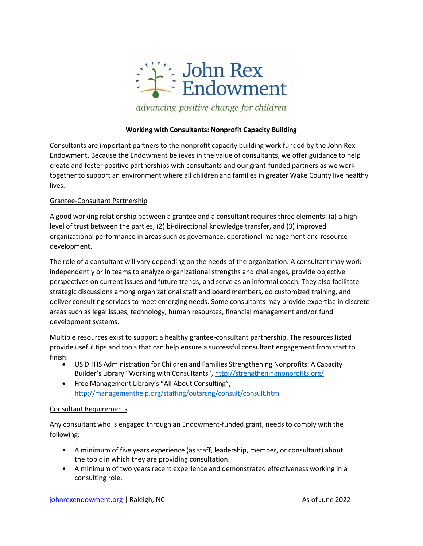

### **Working with Consultants: Nonprofit Capacity Building**

Consultants are important partners to the nonprofit capacity building work funded by the John Rex Endowment. Because the Endowment believes in the value of consultants, we offer guidance to help create and foster positive partnerships with consultants and our grant-funded partners as we work together to support an environment where all children and families in greater Wake County live healthy lives.

## Grantee-Consultant Partnership

A good working relationship between a grantee and a consultant requires three elements: (a) a high level of trust between the parties, (2) bi-directional knowledge transfer, and (3) improved organizational performance in areas such as governance, operational management and resource development.

The role of a consultant will vary depending on the needs of the organization. A consultant may work independently or in teams to analyze organizational strengths and challenges, provide objective perspectives on current issues and future trends, and serve as an informal coach. They also facilitate strategic discussions among organizational staff and board members, do customized training, and deliver consulting services to meet emerging needs. Some consultants may provide expertise in discrete areas such as legal issues, technology, human resources, financial management and/or fund development systems.

Multiple resources exist to support a healthy grantee-consultant partnership. The resources listed provide useful tips and tools that can help ensure a successful consultant engagement from start to

- finish: US DHHS Administration for Children and Families Strengthening Nonprofits: <sup>A</sup> Capacity Builder's Library "Working with Consultants", <http://strengtheningnonprofits.org/>
	- Free Management Library's "All About Consulting", <http://managementhelp.org/staffing/outsrcng/consult/consult.htm>

### Consultant Requirements

Any consultant who is engaged through an Endowment-funded grant, needs to comply with the following:

- A minimum of five years experience (as staff, leadership, member, or consultant) about the topic in which they are providing consultation.
- A minimum of two years recent experience and demonstrated effectiveness working in a consulting role.